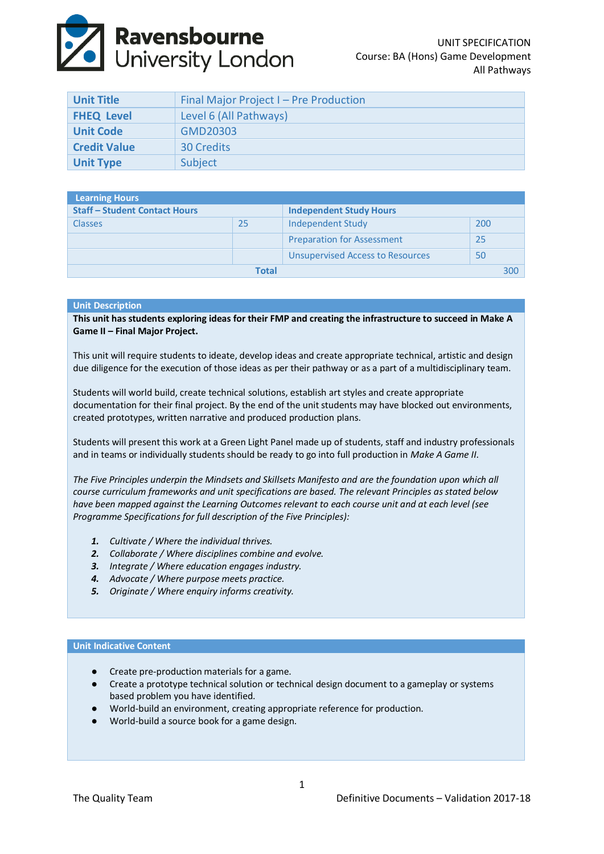# **Ravensbourne**<br>University London

| <b>Unit Title</b>   | Final Major Project I - Pre Production |  |
|---------------------|----------------------------------------|--|
| <b>FHEQ Level</b>   | Level 6 (All Pathways)                 |  |
| <b>Unit Code</b>    | <b>GMD20303</b>                        |  |
| <b>Credit Value</b> | <b>30 Credits</b>                      |  |
| <b>Unit Type</b>    | Subject                                |  |

| Learning Hours                       |    |                                         |     |     |
|--------------------------------------|----|-----------------------------------------|-----|-----|
| <b>Staff - Student Contact Hours</b> |    | <b>Independent Study Hours</b>          |     |     |
| <b>Classes</b>                       | 25 | Independent Study                       | 200 |     |
|                                      |    | <b>Preparation for Assessment</b>       | 25  |     |
|                                      |    | <b>Unsupervised Access to Resources</b> | 50  |     |
| Total                                |    |                                         |     | 300 |

### **Unit Description**

**This unit has students exploring ideas for their FMP and creating the infrastructure to succeed in Make A Game II – Final Major Project.**

This unit will require students to ideate, develop ideas and create appropriate technical, artistic and design due diligence for the execution of those ideas as per their pathway or as a part of a multidisciplinary team.

Students will world build, create technical solutions, establish art styles and create appropriate documentation for their final project. By the end of the unit students may have blocked out environments, created prototypes, written narrative and produced production plans.

Students will present this work at a Green Light Panel made up of students, staff and industry professionals and in teams or individually students should be ready to go into full production in *Make A Game II*.

*The Five Principles underpin the Mindsets and Skillsets Manifesto and are the foundation upon which all course curriculum frameworks and unit specifications are based. The relevant Principles as stated below have been mapped against the Learning Outcomes relevant to each course unit and at each level (see Programme Specifications for full description of the Five Principles):*

- *1. Cultivate / Where the individual thrives.*
- *2. Collaborate / Where disciplines combine and evolve.*
- *3. Integrate / Where education engages industry.*
- *4. Advocate / Where purpose meets practice.*
- *5. Originate / Where enquiry informs creativity.*

#### **Unit Indicative Content**

- Create pre-production materials for a game.
- Create a prototype technical solution or technical design document to a gameplay or systems based problem you have identified.
- World-build an environment, creating appropriate reference for production.
- World-build a source book for a game design.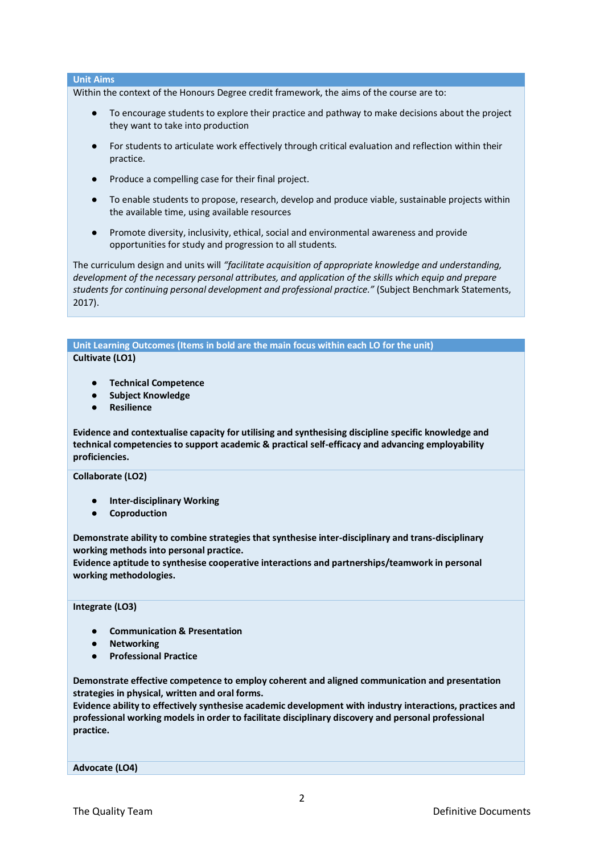# **Unit Aims**

Within the context of the Honours Degree credit framework, the aims of the course are to:

- To encourage students to explore their practice and pathway to make decisions about the project they want to take into production
- For students to articulate work effectively through critical evaluation and reflection within their practice.
- Produce a compelling case for their final project.
- To enable students to propose, research, develop and produce viable, sustainable projects within the available time, using available resources
- Promote diversity, inclusivity, ethical, social and environmental awareness and provide opportunities for study and progression to all students.

The curriculum design and units will *"facilitate acquisition of appropriate knowledge and understanding, development of the necessary personal attributes, and application of the skills which equip and prepare students for continuing personal development and professional practice."* (Subject Benchmark Statements, 2017).

**Unit Learning Outcomes (Items in bold are the main focus within each LO for the unit) Cultivate (LO1)**

- **Technical Competence**
- **Subject Knowledge**
- **Resilience**

**Evidence and contextualise capacity for utilising and synthesising discipline specific knowledge and technical competencies to support academic & practical self-efficacy and advancing employability proficiencies.**

#### **Collaborate (LO2)**

- **Inter-disciplinary Working**
- **Coproduction**

**Demonstrate ability to combine strategies that synthesise inter-disciplinary and trans-disciplinary working methods into personal practice.**

**Evidence aptitude to synthesise cooperative interactions and partnerships/teamwork in personal working methodologies.**

# **Integrate (LO3)**

- **Communication & Presentation**
- **Networking**
- **Professional Practice**

**Demonstrate effective competence to employ coherent and aligned communication and presentation strategies in physical, written and oral forms.** 

**Evidence ability to effectively synthesise academic development with industry interactions, practices and professional working models in order to facilitate disciplinary discovery and personal professional practice.**

**Advocate (LO4)**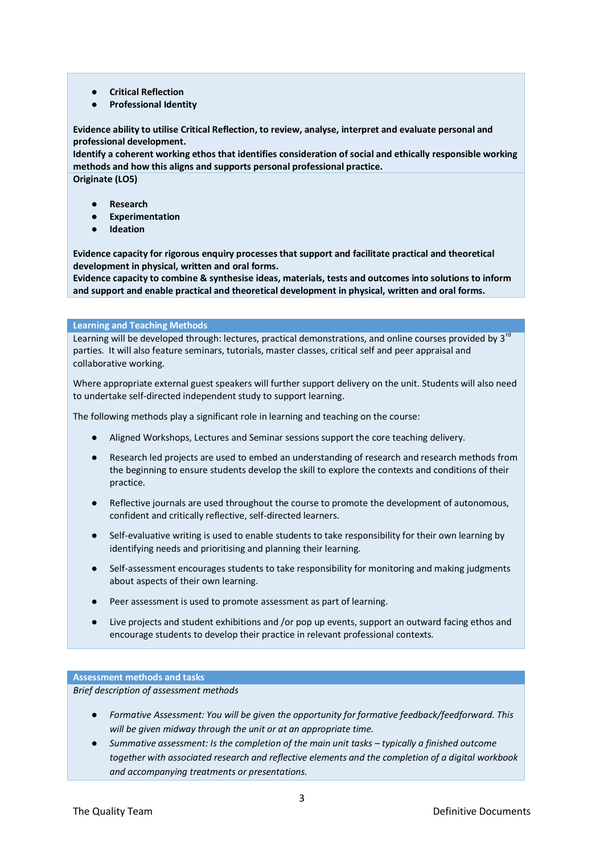- **Critical Reflection**
- **Professional Identity**

**Evidence ability to utilise Critical Reflection, to review, analyse, interpret and evaluate personal and professional development.** 

**Identify a coherent working ethos that identifies consideration of social and ethically responsible working methods and how this aligns and supports personal professional practice. Originate (LO5)**

- **Research**
- **Experimentation**
- **Ideation**

**Evidence capacity for rigorous enquiry processes that support and facilitate practical and theoretical development in physical, written and oral forms.**

**Evidence capacity to combine & synthesise ideas, materials, tests and outcomes into solutions to inform and support and enable practical and theoretical development in physical, written and oral forms.**

#### **Learning and Teaching Methods**

Learning will be developed through: lectures, practical demonstrations, and online courses provided by 3<sup>rd</sup> parties. It will also feature seminars, tutorials, master classes, critical self and peer appraisal and collaborative working.

Where appropriate external guest speakers will further support delivery on the unit. Students will also need to undertake self‐directed independent study to support learning.

The following methods play a significant role in learning and teaching on the course:

- Aligned Workshops, Lectures and Seminar sessions support the core teaching delivery.
- Research led projects are used to embed an understanding of research and research methods from the beginning to ensure students develop the skill to explore the contexts and conditions of their practice.
- Reflective journals are used throughout the course to promote the development of autonomous, confident and critically reflective, self‐directed learners.
- Self-evaluative writing is used to enable students to take responsibility for their own learning by identifying needs and prioritising and planning their learning.
- Self-assessment encourages students to take responsibility for monitoring and making judgments about aspects of their own learning.
- Peer assessment is used to promote assessment as part of learning.
- Live projects and student exhibitions and /or pop up events, support an outward facing ethos and encourage students to develop their practice in relevant professional contexts.

## **Assessment methods and tasks**

*Brief description of assessment methods*

- Formative Assessment: You will be given the opportunity for formative feedback/feedforward. This *will be given midway through the unit or at an appropriate time.*
- Summative assessment: Is the completion of the main unit tasks typically a finished outcome *together with associated research and reflective elements and the completion of a digital workbook and accompanying treatments or presentations.*